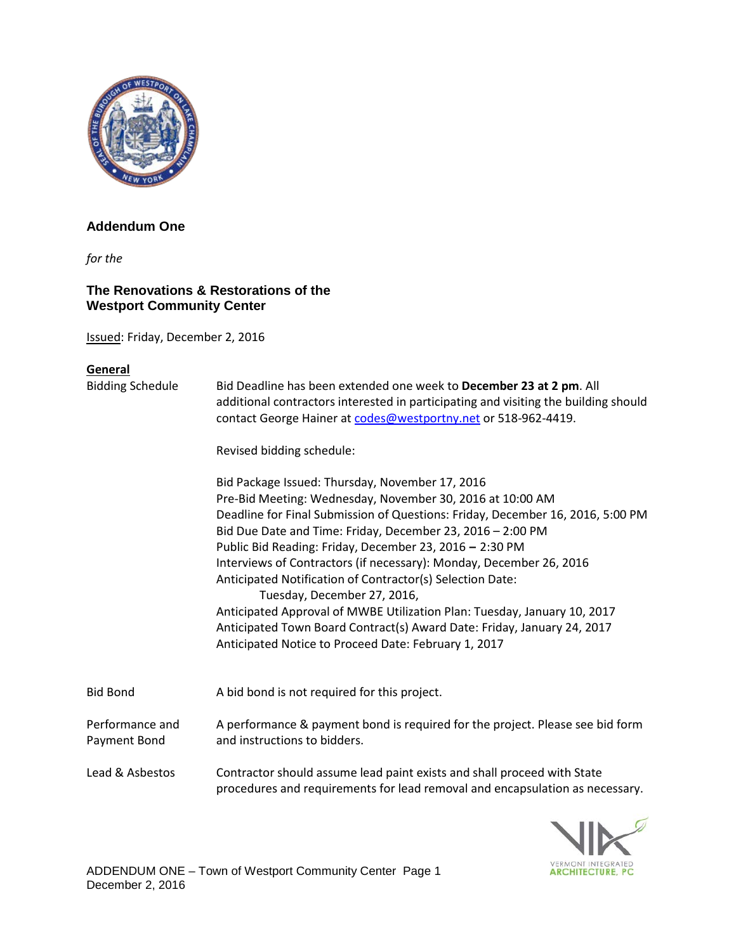

## **Addendum One**

*for the* 

## **The Renovations & Restorations of the Westport Community Center**

Issued: Friday, December 2, 2016

## **General**

| <b>Bidding Schedule</b>         | Bid Deadline has been extended one week to December 23 at 2 pm. All<br>additional contractors interested in participating and visiting the building should<br>contact George Hainer at codes@westportny.net or 518-962-4419.<br>Revised bidding schedule:<br>Bid Package Issued: Thursday, November 17, 2016<br>Pre-Bid Meeting: Wednesday, November 30, 2016 at 10:00 AM<br>Deadline for Final Submission of Questions: Friday, December 16, 2016, 5:00 PM<br>Bid Due Date and Time: Friday, December 23, 2016 - 2:00 PM<br>Public Bid Reading: Friday, December 23, 2016 - 2:30 PM<br>Interviews of Contractors (if necessary): Monday, December 26, 2016<br>Anticipated Notification of Contractor(s) Selection Date:<br>Tuesday, December 27, 2016,<br>Anticipated Approval of MWBE Utilization Plan: Tuesday, January 10, 2017<br>Anticipated Town Board Contract(s) Award Date: Friday, January 24, 2017<br>Anticipated Notice to Proceed Date: February 1, 2017 |
|---------------------------------|------------------------------------------------------------------------------------------------------------------------------------------------------------------------------------------------------------------------------------------------------------------------------------------------------------------------------------------------------------------------------------------------------------------------------------------------------------------------------------------------------------------------------------------------------------------------------------------------------------------------------------------------------------------------------------------------------------------------------------------------------------------------------------------------------------------------------------------------------------------------------------------------------------------------------------------------------------------------|
| <b>Bid Bond</b>                 | A bid bond is not required for this project.                                                                                                                                                                                                                                                                                                                                                                                                                                                                                                                                                                                                                                                                                                                                                                                                                                                                                                                           |
| Performance and<br>Payment Bond | A performance & payment bond is required for the project. Please see bid form<br>and instructions to bidders.                                                                                                                                                                                                                                                                                                                                                                                                                                                                                                                                                                                                                                                                                                                                                                                                                                                          |
| Lead & Asbestos                 | Contractor should assume lead paint exists and shall proceed with State<br>procedures and requirements for lead removal and encapsulation as necessary.                                                                                                                                                                                                                                                                                                                                                                                                                                                                                                                                                                                                                                                                                                                                                                                                                |

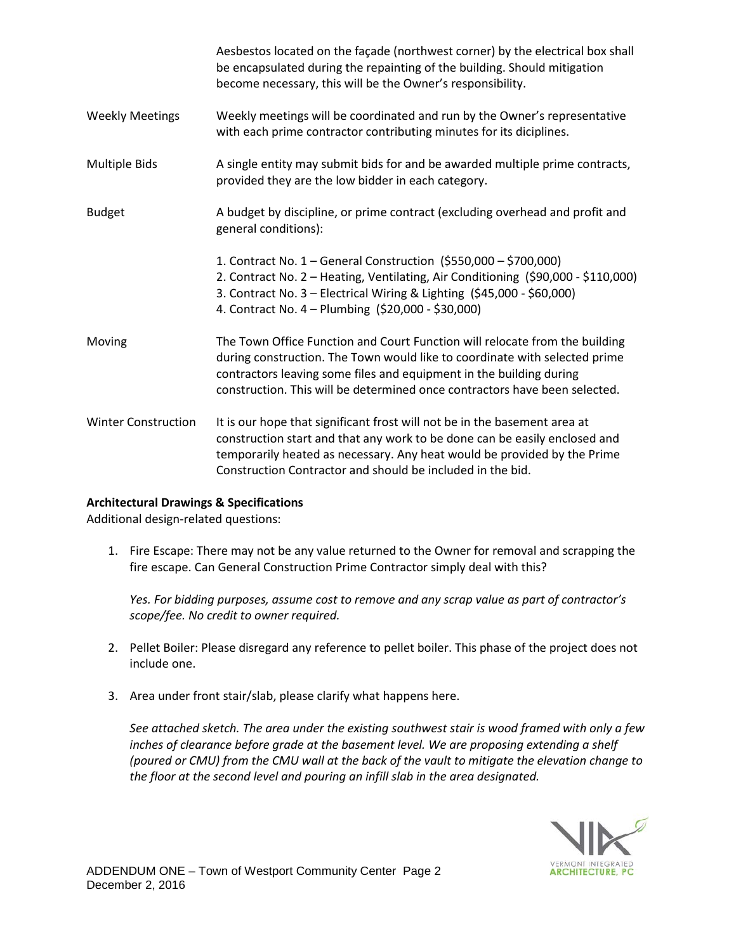|                            | Aesbestos located on the façade (northwest corner) by the electrical box shall<br>be encapsulated during the repainting of the building. Should mitigation<br>become necessary, this will be the Owner's responsibility.                                                                                       |
|----------------------------|----------------------------------------------------------------------------------------------------------------------------------------------------------------------------------------------------------------------------------------------------------------------------------------------------------------|
| <b>Weekly Meetings</b>     | Weekly meetings will be coordinated and run by the Owner's representative<br>with each prime contractor contributing minutes for its diciplines.                                                                                                                                                               |
| <b>Multiple Bids</b>       | A single entity may submit bids for and be awarded multiple prime contracts,<br>provided they are the low bidder in each category.                                                                                                                                                                             |
| <b>Budget</b>              | A budget by discipline, or prime contract (excluding overhead and profit and<br>general conditions):                                                                                                                                                                                                           |
|                            | 1. Contract No. 1 – General Construction (\$550,000 – \$700,000)<br>2. Contract No. 2 - Heating, Ventilating, Air Conditioning (\$90,000 - \$110,000)<br>3. Contract No. 3 - Electrical Wiring & Lighting (\$45,000 - \$60,000)<br>4. Contract No. 4 - Plumbing (\$20,000 - \$30,000)                          |
| Moving                     | The Town Office Function and Court Function will relocate from the building<br>during construction. The Town would like to coordinate with selected prime<br>contractors leaving some files and equipment in the building during<br>construction. This will be determined once contractors have been selected. |
| <b>Winter Construction</b> | It is our hope that significant frost will not be in the basement area at<br>construction start and that any work to be done can be easily enclosed and<br>temporarily heated as necessary. Any heat would be provided by the Prime<br>Construction Contractor and should be included in the bid.              |

## **Architectural Drawings & Specifications**

Additional design-related questions:

1. Fire Escape: There may not be any value returned to the Owner for removal and scrapping the fire escape. Can General Construction Prime Contractor simply deal with this?

*Yes. For bidding purposes, assume cost to remove and any scrap value as part of contractor's scope/fee. No credit to owner required.*

- 2. Pellet Boiler: Please disregard any reference to pellet boiler. This phase of the project does not include one.
- 3. Area under front stair/slab, please clarify what happens here.

*See attached sketch. The area under the existing southwest stair is wood framed with only a few inches of clearance before grade at the basement level. We are proposing extending a shelf (poured or CMU) from the CMU wall at the back of the vault to mitigate the elevation change to the floor at the second level and pouring an infill slab in the area designated.*

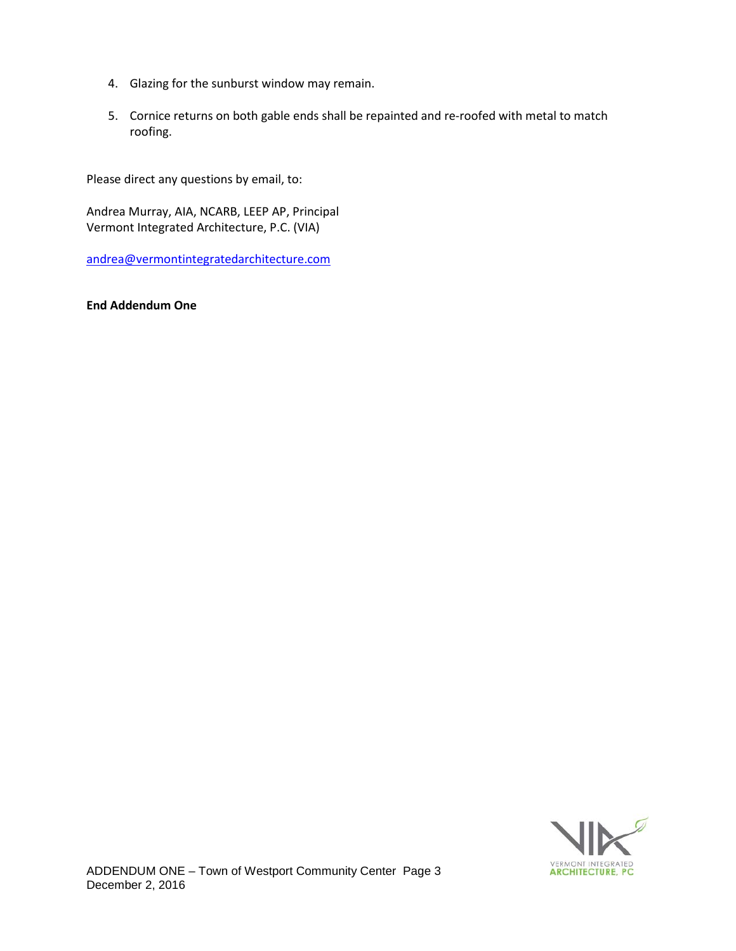- 4. Glazing for the sunburst window may remain.
- 5. Cornice returns on both gable ends shall be repainted and re-roofed with metal to match roofing.

Please direct any questions by email, to:

Andrea Murray, AIA, NCARB, LEEP AP, Principal Vermont Integrated Architecture, P.C. (VIA)

[andrea@vermontintegratedarchitecture.com](mailto:andrea@vermontintegratedarchitecture.com)

**End Addendum One**

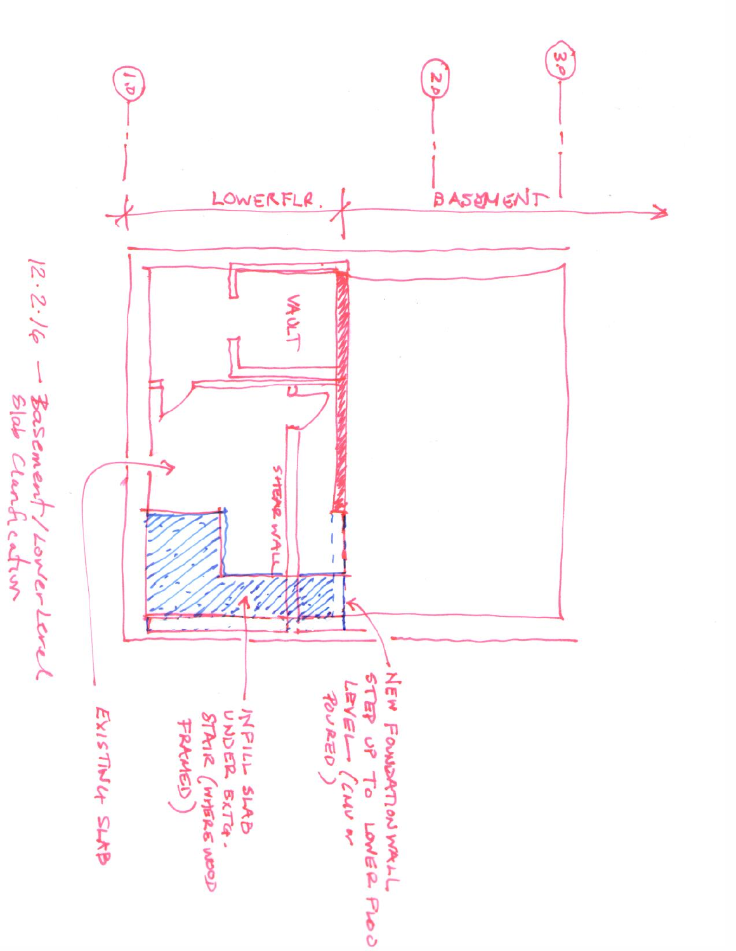